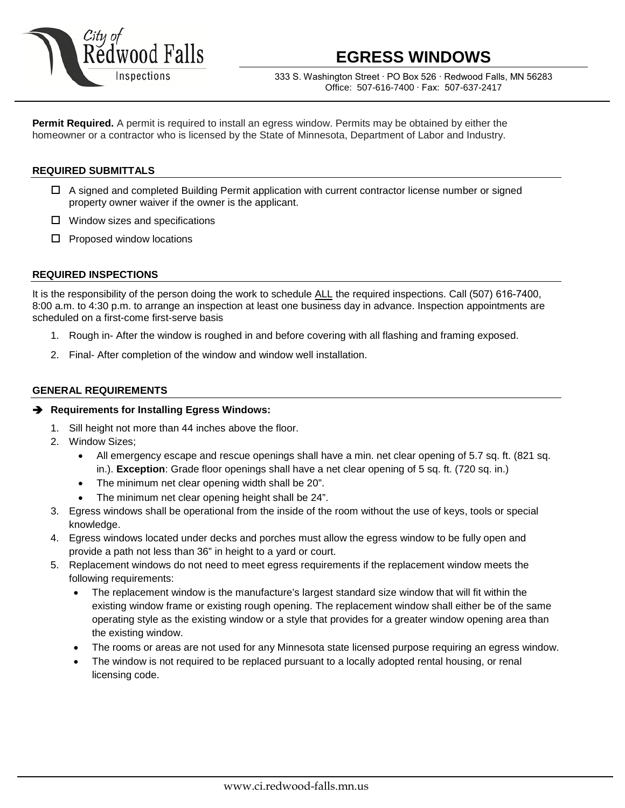

# **EGRESS WINDOWS**

333 S. Washington Street ∙ PO Box 526 ∙ Redwood Falls, MN 56283 Office: 507-616-7400 ∙ Fax: 507-637-2417

**Permit Required.** A permit is required to install an egress window. Permits may be obtained by either the homeowner or a contractor who is licensed by the State of Minnesota, Department of Labor and Industry.

# **REQUIRED SUBMITTALS**

- $\Box$  A signed and completed Building Permit application with current contractor license number or signed property owner waiver if the owner is the applicant.
- $\Box$  Window sizes and specifications
- $\square$  Proposed window locations

### **REQUIRED INSPECTIONS**

It is the responsibility of the person doing the work to schedule ALL the required inspections. Call (507) 616-7400, 8:00 a.m. to 4:30 p.m. to arrange an inspection at least one business day in advance. Inspection appointments are scheduled on a first-come first-serve basis

- 1. Rough in- After the window is roughed in and before covering with all flashing and framing exposed.
- 2. Final- After completion of the window and window well installation.

## **GENERAL REQUIREMENTS**

#### **Requirements for Installing Egress Windows:**

- 1. Sill height not more than 44 inches above the floor.
- 2. Window Sizes;
	- All emergency escape and rescue openings shall have a min. net clear opening of 5.7 sq. ft. (821 sq. in.). **Exception**: Grade floor openings shall have a net clear opening of 5 sq. ft. (720 sq. in.)
	- The minimum net clear opening width shall be 20".
	- The minimum net clear opening height shall be 24".
- 3. Egress windows shall be operational from the inside of the room without the use of keys, tools or special knowledge.
- 4. Egress windows located under decks and porches must allow the egress window to be fully open and provide a path not less than 36" in height to a yard or court.
- 5. Replacement windows do not need to meet egress requirements if the replacement window meets the following requirements:
	- The replacement window is the manufacture's largest standard size window that will fit within the existing window frame or existing rough opening. The replacement window shall either be of the same operating style as the existing window or a style that provides for a greater window opening area than the existing window.
	- The rooms or areas are not used for any Minnesota state licensed purpose requiring an egress window.
	- The window is not required to be replaced pursuant to a locally adopted rental housing, or renal licensing code.